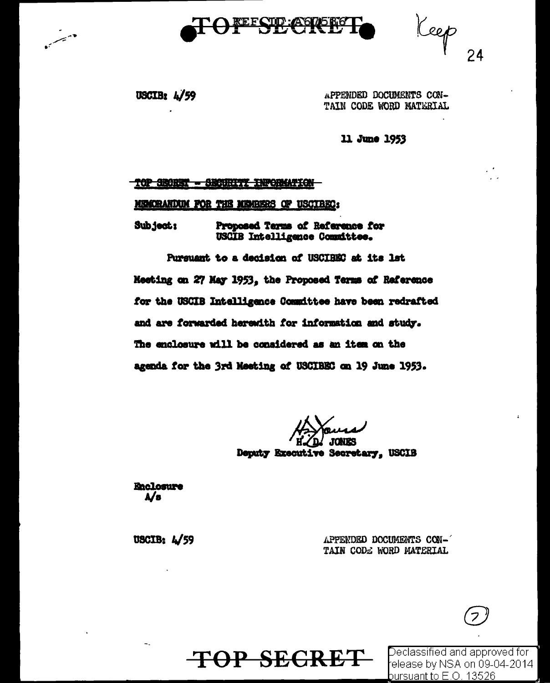

Keep

USCIB:  $4/59$ 

 $\leftarrow$ 

APPENDED DOCUMENTS CON-TAIN CODE WORD MATERIAL

11 June 1953

#### TOP SECRET - SECURITY INFORMATION

#### MECRANDUM FOR THE MEMBERS OF USCIBEC:

Subject: Proposed Terms of Reference for USCIB Intelligence Committee.

Pursuant to a decision of USCIBEC at its lst Meeting on 27 May 1953, the Proposed Terms of Raference for the USCIB Intelligence Committee have been redrafted and are forwarded herewith for information and study. The enclosure will be considered as an item on the agenda for the 3rd Meeting of USCIBEC on 19 June 1953.

TOP SECRET

Deputy Executive Secretary, USCIB

Enclosure  $\mathbf{A}/\mathbf{B}$ 

USCIB:  $4/59$ 

APPENDED DOCUMENTS CON-TAIN CODE WORD MATERIAL

Declassified and approved for release by NSA on 09-04-2014  $b$ ursuant to E.O. 13526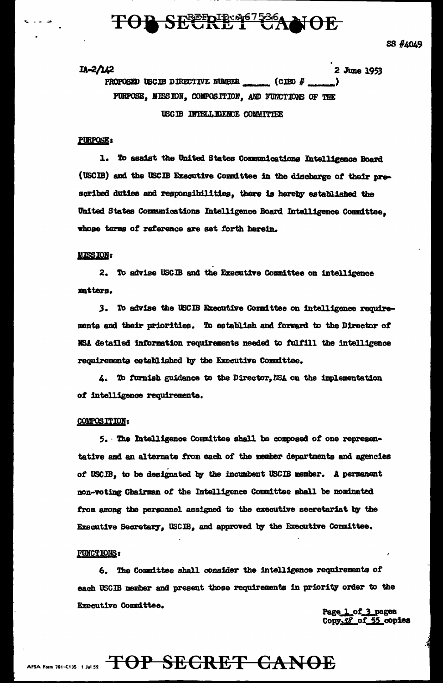## **B SEERIE: 267536A NOE**

 $11 - 2/142$ 2 June 1953 PROPOSED USCIB DIRECTIVE NUMBER  $\mathcal{L}$  (CIBD  $\#$ PURPOSE, MISSION, COMPOSITION, AND FUNCTIONS OF THE USC IB INTELL IGENCE COLMITTEE

## PURPOSE:

1. To assist the United States Communications Intelligence Board (USCIB) and the USCIB Executive Committee in the discharge of their prescribed duties and responsibilities, there is hereby established the United States Communications Intelligence Board Intelligence Committee, whose terms of reference are set forth herein.

## **MISSION:**

2. To advise USCIB and the Executive Committee on intelligence matters.

3. To advise the USCIB Executive Committee on intelligence requirements and their priorities. To establish and forward to the Director of NSA detailed information requirements needed to fulfill the intelligence requirements established by the Executive Committee.

4. To furnish guidance to the Director, NSA on the implementation of intelligence requirements.

#### **COMPOSITION:**

5. The Intelligence Committee shall be composed of one representative and an alternate from each of the member departments and agencies of USCIB, to be designated by the incumbent USCIB member. A permanent non-voting Chairman of the Intelligence Committee shall be nominated from among the personnel assigned to the executive secretariat by the Executive Secretary, USCIB, and approved by the Executive Committee.

### **FUNCTIONS:**

6. The Committee shall consider the intelligence requirements of each USCIB member and present those requirements in priority order to the Executive Committee.

Page 1 of 3 pages Copy 38 of 55 copies

## AFSA Form 781-C13S 1 Jul 32 TOP SEGRET CANOE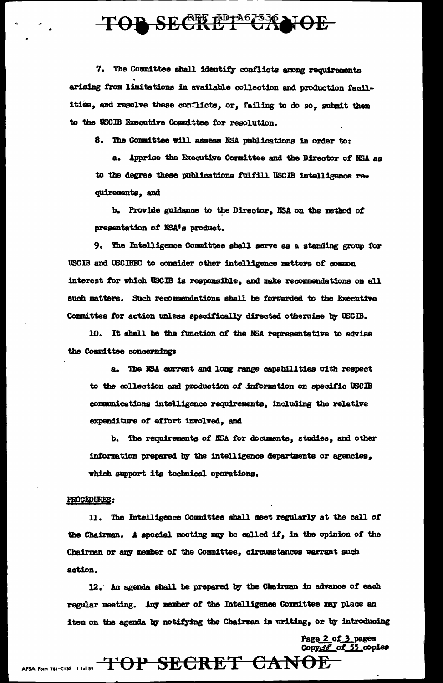# TOP SECRET CANOE

7. The Committee shall identify conflicts among requirements arising from limitations in available collection and production facilities, and resolve these conflicts, or, failing to do so, submit them to the USCIB Executive Committee for resolution.

8. The Committee will assess NSA publications in order to:

a. Apprise the Executive Committee and the Director of NSA as to the degree these publications fulfill USCIB intelligence requirements, and

b. Provide guidance to the Director. NSA on the method of presentation of NSA's product.

9. The Intelligence Committee shall serve as a standing group for USCIB and USCIBEC to consider other intelligence matters of common interest for which USCIB is responsible, and make recommendations on all such matters. Such recommendations shall be forwarded to the Executive Committee for action unless specifically directed otherwise by USCIB.

10. It shall be the function of the NSA representative to advise the Committee concerning:

a. The NSA current and long range capabilities with respect to the collection and production of information on specific USCIB communications intelligence requirements, including the relative expenditure of effort involved, and

b. The requirements of NSA for documents, studies, and other information prepared by the intelligence departments or agencies, which support its technical operations.

### PROCEDURES:

11. The Intelligence Committee shall meet regularly at the call of the Chairman. A special meeting may be called if, in the opinion of the Chairman or any member of the Committee, circumstances warrant such action.

12. An agenda shall be prepared by the Chairman in advance of each regular meeting. Any member of the Intelligence Committee may place an item on the agenda by notifying the Chairman in writing, or by introducing

> Page 2 of 3 pages Copy38 of 55 copies

AFSA Form 781-C13S 1 Jul 52 TOP SECRET CANOE